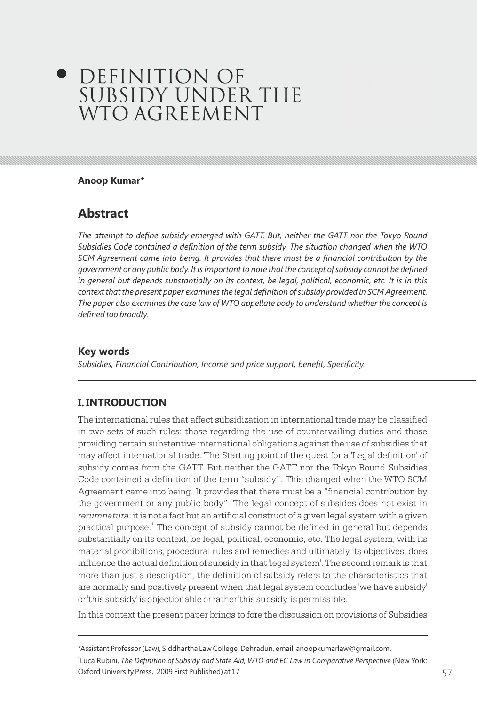# **DEFINITION OF** SUBSIDY UNDER THE WTO AGREEMENT

#### **Anoop Kumar\***

# **Abstract**

*The attempt to define subsidy emerged with GATT. But, neither the GATT nor the Tokyo Round Subsidies Code contained a definition of the term subsidy. The situation changed when the WTO SCM Agreement came into being. It provides that there must be a financial contribution by the government or any public body. It is important to note that the concept of subsidy cannot be defined in general but depends substantially on its context, be legal, political, economic, etc. It is in this context that the present paper examines the legal definition of subsidy provided in SCM Agreement. The paper also examines the case law of WTO appellate body to understand whether the concept is defined too broadly.*

### **Key words**

*Subsidies, Financial Contribution, Income and price support, benefit, Specificity.*

# **I. INTRODUCTION**

The international rules that affect subsidization in international trade may be classified in two sets of such rules: those regarding the use of countervailing duties and those providing certain substantive international obligations against the use of subsidies that may affect international trade. The Starting point of the quest for a 'Legal definition' of subsidy comes from the GATT. But neither the GATT nor the Tokyo Round Subsidies Code contained a definition of the term "subsidy". This changed when the WTO SCM Agreement came into being. It provides that there must be a "financial contribution by the government or any public body". The legal concept of subsides does not exist in *rerumnatura*: it is not a fact but an artificial construct of a given legal system with a given practical purpose.<sup>1</sup> The concept of subsidy cannot be defined in general but depends substantially on its context, be legal, political, economic, etc. The legal system, with its material prohibitions, procedural rules and remedies and ultimately its objectives, does influence the actual definition of subsidy in that 'legal system'. The second remark is that more than just a description, the definition of subsidy refers to the characteristics that are normally and positively present when that legal system concludes 'we have subsidy' or 'this subsidy' is objectionable or rather 'this subsidy' is permissible.

In this context the present paper brings to fore the discussion on provisions of Subsidies

Oxford University Press, 2009 First Published) at 17 **System and Except Published** at 17 1 Luca Rubini, *The Definition of Subsidy and State Aid, WTO and EC Law in Comparative Perspective* (New York:

<sup>\*</sup>Assistant Professor (Law), Siddhartha Law College, Dehradun, email: anoopkumarlaw@gmail.com.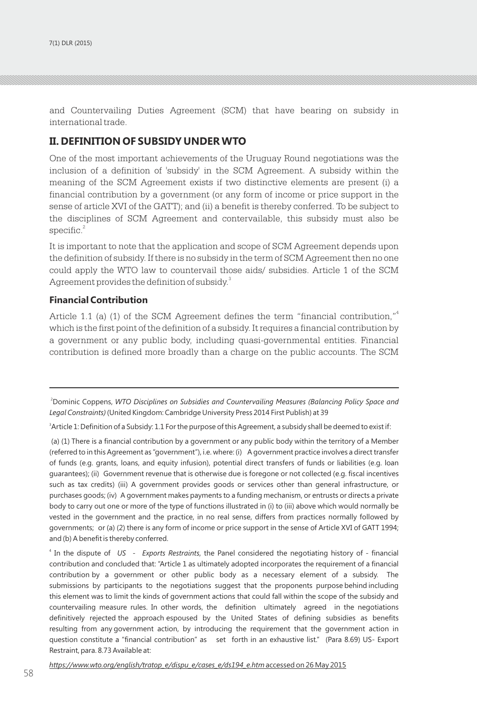and Countervailing Duties Agreement (SCM) that have bearing on subsidy in international trade.

### **II. DEFINITION OF SUBSIDY UNDER WTO**

One of the most important achievements of the Uruguay Round negotiations was the inclusion of a definition of 'subsidy' in the SCM Agreement. A subsidy within the meaning of the SCM Agreement exists if two distinctive elements are present (i) a financial contribution by a government (or any form of income or price support in the sense of article XVI of the GATT); and (ii) a benefit is thereby conferred. To be subject to the disciplines of SCM Agreement and contervailable, this subsidy must also be  ${\rm specific.}^2$ 

It is important to note that the application and scope of SCM Agreement depends upon the definition of subsidy. If there is no subsidy in the term of SCM Agreement then no one could apply the WTO law to countervail those aids/ subsidies. Article 1 of the SCM Agreement provides the definition of subsidy.<sup>3</sup>

### **Financial Contribution**

Article 1.1 (a) (1) of the SCM Agreement defines the term "financial contribution,"<sup>4</sup> which is the first point of the definition of a subsidy. It requires a financial contribution by a government or any public body, including quasi-governmental entities. Financial contribution is defined more broadly than a charge on the public accounts. The SCM

3 Article 1: Definition of a Subsidy: 1.1 For the purpose of this Agreement, a subsidy shall be deemed to exist if:

(a) (1) There is a financial contribution by a government or any public body within the territory of a Member (referred to in this Agreement as "government"), i.e. where: (i) A government practice involves a direct transfer of funds (e.g. grants, loans, and equity infusion), potential direct transfers of funds or liabilities (e.g. loan guarantees); (ii) Government revenue that is otherwise due is foregone or not collected (e.g. fiscal incentives such as tax credits) (iii) A government provides goods or services other than general infrastructure, or purchases goods; (iv) A government makes payments to a funding mechanism, or entrusts or directs a private body to carry out one or more of the type of functions illustrated in (i) to (iii) above which would normally be vested in the government and the practice, in no real sense, differs from practices normally followed by governments; or (a) (2) there is any form of income or price support in the sense of Article XVI of GATT 1994; and (b) A benefit is thereby conferred.

4 In the dispute of *US - Exports Restraints*, the Panel considered the negotiating history of - financial contribution and concluded that: "Article 1 as ultimately adopted incorporates the requirement of a financial contribution by a government or other public body as a necessary element of a subsidy. The submissions by participants to the negotiations suggest that the proponents purpose behind including this element was to limit the kinds of government actions that could fall within the scope of the subsidy and countervailing measure rules. In other words, the definition ultimately agreed in the negotiations definitively rejected the approach espoused by the United States of defining subsidies as benefits resulting from any government action, by introducing the requirement that the government action in question constitute a "financial contribution" as set forth in an exhaustive list." (Para 8.69) US- Export Restraint, para. 8.73 Available at:

<sup>2</sup>Dominic Coppens, *WTO Disciplines on Subsidies and Countervailing Measures (Balancing Policy Space and Legal Constraints)* (United Kingdom: Cambridge University Press 2014 First Publish) at 39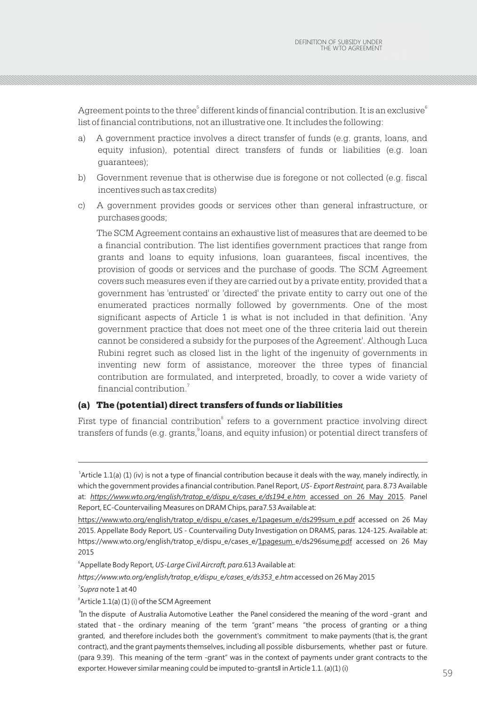Agreement points to the three  $6$  different kinds of financial contribution. It is an exclusive  $6$ list of financial contributions, not an illustrative one. It includes the following:

- a) A government practice involves a direct transfer of funds (e.g. grants, loans, and equity infusion), potential direct transfers of funds or liabilities (e.g. loan guarantees);
- b) Government revenue that is otherwise due is foregone or not collected (e.g. fiscal incentives such as tax credits)
- c) A government provides goods or services other than general infrastructure, or purchases goods;

The SCM Agreement contains an exhaustive list of measures that are deemed to be a financial contribution. The list identifies government practices that range from grants and loans to equity infusions, loan guarantees, fiscal incentives, the provision of goods or services and the purchase of goods. The SCM Agreement covers such measures even if they are carried out by a private entity, provided that a government has 'entrusted' or 'directed' the private entity to carry out one of the enumerated practices normally followed by governments. One of the most significant aspects of Article 1 is what is not included in that definition. 'Any government practice that does not meet one of the three criteria laid out therein cannot be considered a subsidy for the purposes of the Agreement'. Although Luca Rubini regret such as closed list in the light of the ingenuity of governments in inventing new form of assistance, moreover the three types of financial contribution are formulated, and interpreted, broadly, to cover a wide variety of financial contribution.<sup>7</sup>

### (a) The (potential) direct transfers of funds or liabilities

First type of financial contribution<sup>8</sup> refers to a government practice involving direct transfers of funds (e.g. grants, loans, and equity infusion) or potential direct transfers of

*https://www.wto.org/english/tratop\_e/dispu\_e/cases\_e/ds353\_e.htm* accessed on 26 May 2015

7 *Supra* note 1 at 40

<sup>5</sup> Article 1.1(a) (1) (iv) is not a type of financial contribution because it deals with the way, manely indirectly, in which the government provides a financial contribution. Panel Report,*US- Export Restraint,* para. 8.73 Available at: *https://www.wto.org/english/tratop\_e/dispu\_e/cases\_e/ds194\_e.htm* accessed on 26 May 2015. Panel Report, EC-Countervailing Measures on DRAM Chips, para7.53 Available at:

https://www.wto.org/english/tratop\_e/dispu\_e/cases\_e/1pagesum\_e/ds299sum\_e.pdf accessed on 26 May 2015. Appellate Body Report, US - Countervailing Duty Investigation on DRAMS, paras. 124-125. Available at: https://www.wto.org/english/tratop\_e/dispu\_e/cases\_e/1pagesum\_e/ds296sume.pdf accessed on 26 May 2015

<sup>6</sup> Appellate Body Report, *US-Large Civil Aircraft, para*.613 Available at:

 ${}^8$ Article 1.1(a) (1) (i) of the SCM Agreement

<sup>58</sup> 59 In the dispute of Australia Automotive Leather the Panel considered the meaning of the word -grant and stated that - the ordinary meaning of the term "grant" means "the process of granting or a thing granted, and therefore includes both the government's commitment to make payments (that is, the grant contract), and the grant payments themselves, including all possible disbursements, whether past or future. (para 9.39). This meaning of the term -grant" was in the context of payments under grant contracts to the exporter. However similar meaning could be imputed to-grantsll in Article 1.1. (a)(1) (i)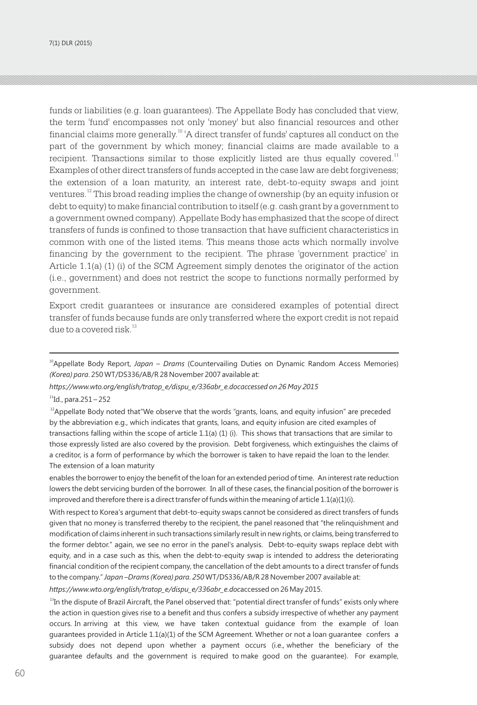funds or liabilities (e.g. loan guarantees). The Appellate Body has concluded that view, the term 'fund' encompasses not only 'money' but also financial resources and other  $\frac{1}{2}$  financial claims more generally.<sup>10</sup>  $\mu$  direct transfer of funds' captures all conduct on the part of the government by which money; financial claims are made available to a recipient. Transactions similar to those explicitly listed are thus equally covered.<sup>11</sup> Examples of other direct transfers of funds accepted in the case law are debt forgiveness; the extension of a loan maturity, an interest rate, debt-to-equity swaps and joint ventures.<sup>12</sup> This broad reading implies the change of ownership (by an equity infusion or debt to equity) to make financial contribution to itself (e.g. cash grant by a government to a government owned company). Appellate Body has emphasized that the scope of direct transfers of funds is confined to those transaction that have sufficient characteristics in common with one of the listed items. This means those acts which normally involve financing by the government to the recipient. The phrase 'government practice' in Article 1.1(a) (1) (i) of the SCM Agreement simply denotes the originator of the action (i.e., government) and does not restrict the scope to functions normally performed by government.

Export credit guarantees or insurance are considered examples of potential direct transfer of funds because funds are only transferred where the export credit is not repaid due to a covered risk  $^{13}$ 

*https://www.wto.org/english/tratop\_e/dispu\_e/336abr\_e.docaccessed on 26 May 2015*

 $^{11}$ Id., para.251 – 252

 $12A$ ppellate Body noted that"We observe that the words "grants, loans, and equity infusion" are preceded by the abbreviation e.g., which indicates that grants, loans, and equity infusion are cited examples of transactions falling within the scope of article 1.1(a) (1) (i). This shows that transactions that are similar to those expressly listed are also covered by the provision. Debt forgiveness, which extinguishes the claims of a creditor, is a form of performance by which the borrower is taken to have repaid the loan to the lender. The extension of a loan maturity

enables the borrower to enjoy the benefit of the loan for an extended period of time. An interest rate reduction lowers the debt servicing burden of the borrower. In all of these cases, the financial position of the borrower is improved and therefore there is a direct transfer of funds within the meaning of article  $1.1(a)(1)(i)$ .

With respect to Korea's argument that debt-to-equity swaps cannot be considered as direct transfers of funds given that no money is transferred thereby to the recipient, the panel reasoned that "the relinquishment and modification of claims inherent in such transactions similarly result in new rights, or claims, being transferred to the former debtor." again, we see no error in the panel's analysis. Debt-to-equity swaps replace debt with equity, and in a case such as this, when the debt-to-equity swap is intended to address the deteriorating financial condition of the recipient company, the cancellation of the debt amounts to a direct transfer of funds to the company." *Japan –Drams (Korea) para. 250* WT/DS336/AB/R 28 November 2007 available at:

*https://www.wto.org/english/tratop\_e/dispu\_e/336abr\_e.doc*accessed on 26 May 2015.

 $13$ In the dispute of Brazil Aircraft, the Panel observed that: "potential direct transfer of funds" exists only where the action in question gives rise to a benefit and thus confers a subsidy irrespective of whether any payment occurs. In arriving at this view, we have taken contextual guidance from the example of loan guarantees provided in Article 1.1(a)(1) of the SCM Agreement. Whether or not a loan guarantee confers a subsidy does not depend upon whether a payment occurs (i.e., whether the beneficiary of the guarantee defaults and the government is required to make good on the guarantee). For example,

<sup>&</sup>lt;sup>10</sup>Appellate Body Report, Japan – Drams (Countervailing Duties on Dynamic Random Access Memories) *(Korea) para*. 250 WT/DS336/AB/R 28 November 2007 available at: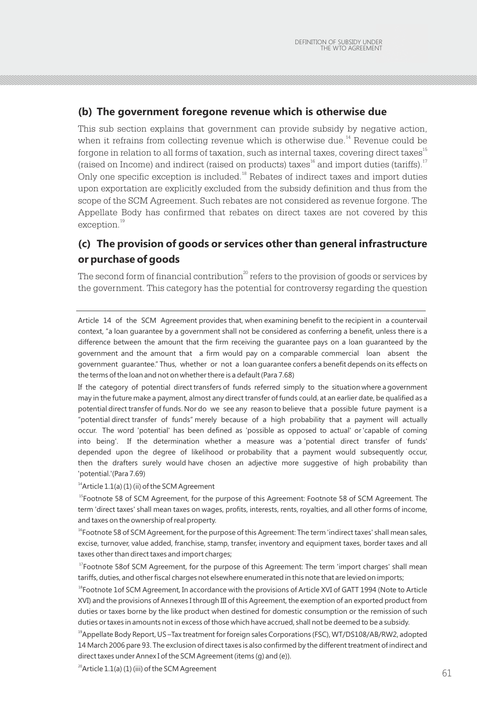# **(b) The government foregone revenue which is otherwise due**

This sub section explains that government can provide subsidy by negative action, when it refrains from collecting revenue which is otherwise due.<sup>14</sup> Revenue could be forgone in relation to all forms of taxation, such as internal taxes, covering direct taxes<sup>15</sup> (raised on Income) and indirect (raised on products) taxes  $16$  and import duties (tariffs).<sup>17</sup> Only one specific exception is included.<sup>18</sup> Rebates of indirect taxes and import duties upon exportation are explicitly excluded from the subsidy definition and thus from the scope of the SCM Agreement. Such rebates are not considered as revenue forgone. The Appellate Body has confirmed that rebates on direct taxes are not covered by this exception.<sup>19</sup>

# **(c) The provision of goods or services other than general infrastructure or purchase of goods**

The second form of financial contribution<sup>20</sup> refers to the provision of goods or services by the government. This category has the potential for controversy regarding the question

Article 14 of the SCM Agreement provides that, when examining benefit to the recipient in a countervail context, "a loan guarantee by a government shall not be considered as conferring a benefit, unless there is a difference between the amount that the firm receiving the guarantee pays on a loan guaranteed by the government and the amount that a firm would pay on a comparable commercial loan absent the government guarantee." Thus, whether or not a loan guarantee confers a benefit depends on its effects on the terms of the loan and not on whether there is a default (Para 7.68)

If the category of potential direct transfers of funds referred simply to the situation where a government may in the future make a payment, almost any direct transfer of funds could, at an earlier date, be qualified as a potential direct transfer of funds. Nor do we see any reason to believe that a possible future payment is a "potential direct transfer of funds" merely because of a high probability that a payment will actually occur. The word 'potential' has been defined as 'possible as opposed to actual' or 'capable of coming into being'. If the determination whether a measure was a 'potential direct transfer of funds' depended upon the degree of likelihood or probability that a payment would subsequently occur, then the drafters surely would have chosen an adjective more suggestive of high probability than 'potential.'(Para 7.69)

 $14$ Article 1.1(a) (1) (ii) of the SCM Agreement

<sup>15</sup>Footnote 58 of SCM Agreement, for the purpose of this Agreement: Footnote 58 of SCM Agreement. The term 'direct taxes' shall mean taxes on wages, profits, interests, rents, royalties, and all other forms of income, and taxes on the ownership of real property.

<sup>16</sup>Footnote 58 of SCM Agreement, for the purpose of this Agreement: The term 'indirect taxes' shall mean sales, excise, turnover, value added, franchise, stamp, transfer, inventory and equipment taxes, border taxes and all taxes other than direct taxes and import charges;

<sup>17</sup>Footnote 58of SCM Agreement, for the purpose of this Agreement: The term 'import charges' shall mean tariffs, duties, and other fiscal charges not elsewhere enumerated in this note that are levied on imports;

<sup>18</sup>Footnote 1of SCM Agreement, In accordance with the provisions of Article XVI of GATT 1994 (Note to Article XVI) and the provisions of Annexes I through III of this Agreement, the exemption of an exported product from duties or taxes borne by the like product when destined for domestic consumption or the remission of such duties or taxes in amounts not in excess of those which have accrued, shall not be deemed to be a subsidy.

<sup>19</sup>Appellate Body Report, US –Tax treatment for foreign sales Corporations (FSC), WT/DS108/AB/RW2, adopted 14 March 2006 pare 93. The exclusion of direct taxes is also confirmed by the different treatment of indirect and direct taxes under Annex I of the SCM Agreement (items (g) and (e)).

 $\mu$  future 1.1(a) (1) (iii) of the SCW Agreement (2008)  $\mu$  61  $20$ Article 1.1(a) (1) (iii) of the SCM Agreement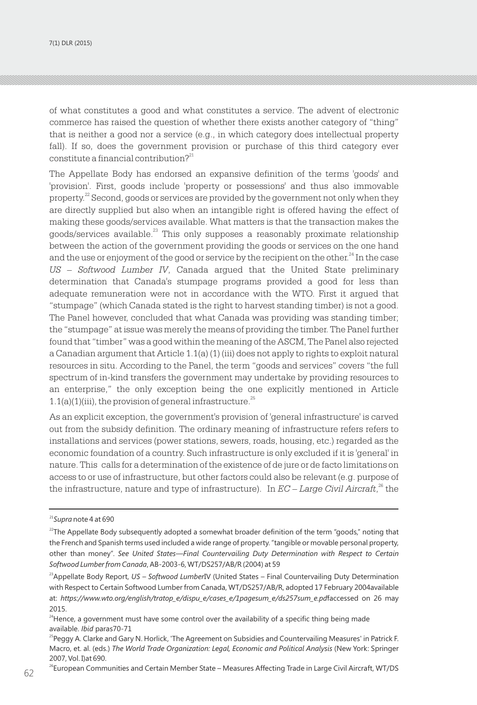7(1) DLR (2015)

of what constitutes a good and what constitutes a service. The advent of electronic commerce has raised the question of whether there exists another category of "thing" that is neither a good nor a service (e.g., in which category does intellectual property fall). If so, does the government provision or purchase of this third category ever constitute a financial contribution? $2^{21}$ 

The Appellate Body has endorsed an expansive definition of the terms 'goods' and 'provision'. First, goods include 'property or possessions' and thus also immovable property.<sup>22</sup> Second, goods or services are provided by the government not only when they are directly supplied but also when an intangible right is offered having the effect of making these goods/services available. What matters is that the transaction makes the goods/services available.<sup>23</sup> This only supposes a reasonably proximate relationship between the action of the government providing the goods or services on the one hand and the use or enjoyment of the good or service by the recipient on the other.<sup>24</sup> In the case *US – Softwood Lumber IV*, Canada argued that the United State preliminary determination that Canada's stumpage programs provided a good for less than adequate remuneration were not in accordance with the WTO. First it argued that "stumpage" (which Canada stated is the right to harvest standing timber) is not a good. The Panel however, concluded that what Canada was providing was standing timber; the "stumpage" at issue was merely the means of providing the timber. The Panel further found that "timber" was a good within the meaning of the ASCM, The Panel also rejected a Canadian argument that Article 1.1(a) (1) (iii) does not apply to rights to exploit natural resources in situ. According to the Panel, the term "goods and services" covers "the full spectrum of in-kind transfers the government may undertake by providing resources to an enterprise," the only exception being the one explicitly mentioned in Article  $1.1(a)(1)(iii)$ , the provision of general infrastructure.<sup>25</sup>

As an explicit exception, the government's provision of 'general infrastructure' is carved out from the subsidy definition. The ordinary meaning of infrastructure refers refers to installations and services (power stations, sewers, roads, housing, etc.) regarded as the economic foundation of a country. Such infrastructure is only excluded if it is 'general' in nature. This calls for a determination of the existence of de jure or de facto limitations on access to or use of infrastructure, but other factors could also be relevant (e.g. purpose of the infrastructure, nature and type of infrastructure). In  $EC - Large$  Civil Aircraft,<sup>26</sup> the

<sup>21</sup>*Supra* note 4 at 690

 $^{22}$ The Appellate Body subsequently adopted a somewhat broader definition of the term "goods," noting that the French and Spanish terms used included a wide range of property. "tangible or movable personal property, other than money". *See United States—Final Countervailing Duty Determination with Respect to Certain Softwood Lumber from Canada*, AB-2003-6, WT/DS257/AB/R (2004) at 59

<sup>&</sup>lt;sup>23</sup> Appellate Body Report, US - Softwood LumberIV (United States - Final Countervailing Duty Determination with Respect to Certain Softwood Lumber from Canada, WT/DS257/AB/R, adopted 17 February 2004available at: *https://www.wto.org/english/tratop\_e/dispu\_e/cases\_e/1pagesum\_e/ds257sum\_e.pd*faccessed on 26 may 2015.

 $24$ Hence, a government must have some control over the availability of a specific thing being made available. *Ibid* paras70-71

<sup>&</sup>lt;sup>25</sup> Peggy A. Clarke and Gary N. Horlick, 'The Agreement on Subsidies and Countervailing Measures' in Patrick F. Macro, et. al. (eds.) *The World Trade Organization: Legal, Economic and Political Analysis* (New York: Springer 2007, Vol. I)at 690.

<sup>&</sup>lt;sup>26</sup>European Communities and Certain Member State – Measures Affecting Trade in Large Civil Aircraft, WT/DS<br>62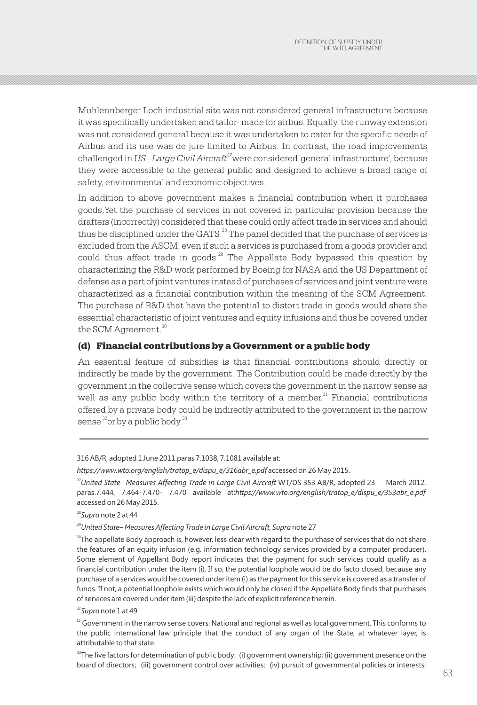Muhlennberger Loch industrial site was not considered general infrastructure because it was specifically undertaken and tailor- made for airbus. Equally, the runway extension was not considered general because it was undertaken to cater for the specific needs of Airbus and its use was de jure limited to Airbus. In contrast, the road improvements *<sup>27</sup>*challenged in *US –Large Civil Aircraft* were considered 'general infrastructure', because they were accessible to the general public and designed to achieve a broad range of safety, environmental and economic objectives.

In addition to above government makes a financial contribution when it purchases goods.Yet the purchase of services in not covered in particular provision because the drafters (incorrectly) considered that these could only affect trade in services and should thus be disciplined under the GATS.<sup>28</sup> The panel decided that the purchase of services is excluded from the ASCM, even if such a services is purchased from a goods provider and could thus affect trade in goods. $29$  The Appellate Body bypassed this question by characterizing the R&D work performed by Boeing for NASA and the US Department of defense as a part of joint ventures instead of purchases of services and joint venture were characterized as a financial contribution within the meaning of the SCM Agreement. The purchase of R&D that have the potential to distort trade in goods would share the essential characteristic of joint ventures and equity infusions and thus be covered under the SCM Agreement.<sup>30</sup>

### (d) Financial contributions by a Government or a public body

An essential feature of subsidies is that financial contributions should directly or indirectly be made by the government. The Contribution could be made directly by the government in the collective sense which covers the government in the narrow sense as well as any public body within the territory of a member.<sup>31</sup> Financial contributions offered by a private body could be indirectly attributed to the government in the narrow sense  $\mathrm{^{32}or}$  by a public body. $\mathrm{^{33}}$ 

#### 316 AB/R, adopted 1 June 2011.paras 7.1038, 7.1081 available at:

<sup>27</sup>*United State– Measures Affecting Trade in Large Civil Aircraft* WT/DS 353 AB/R, adopted 23 March 2012. paras.7.444, 7.464-7.470- 7.470 available at:*https://www.wto.org/english/tratop\_e/dispu\_e/353abr\_e.pdf* accessed on 26 May 2015.

<sup>28</sup>*Supra* note 2 at 44

*<sup>29</sup>United State– Measures Affecting Trade in Large Civil Aircraft, Supra* note 27

 $30$ The appellate Body approach is, however, less clear with regard to the purchase of services that do not share the features of an equity infusion (e.g. information technology services provided by a computer producer). Some element of Appellant Body report indicates that the payment for such services could qualify as a financial contribution under the item (i). If so, the potential loophole would be do facto closed, because any purchase of a services would be covered under item (i) as the payment for this service is covered as a transfer of funds. If not, a potential loophole exists which would only be closed if the Appellate Body finds that purchases of services are covered under item (iii) despite the lack of explicit reference therein.

#### *<sup>31</sup>Supra* note 1 at 49

<sup>32</sup> Government in the narrow sense covers: National and regional as well as local government. This conforms to the public international law principle that the conduct of any organ of the State, at whatever layer, is attributable to that state.

 $\sim$  63 <sup>33</sup>The five factors for determination of public body: (i) government ownership; (ii) government presence on the board of directors; (iii) government control over activities; (iv) pursuit of governmental policies or interests;

*https://www.wto.org/english/tratop\_e/dispu\_e/316abr\_e.pdf* accessed on 26 May 2015.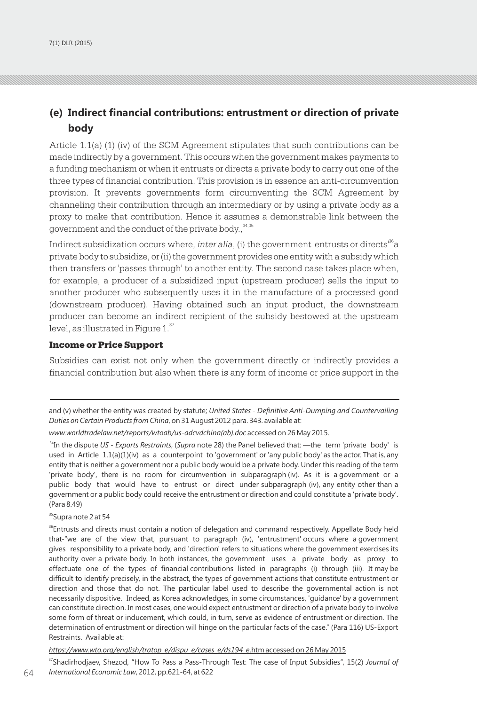# **(e) Indirect financial contributions: entrustment or direction of private body**

Article 1.1(a) (1) (iv) of the SCM Agreement stipulates that such contributions can be made indirectly by a government. This occurs when the government makes payments to a funding mechanism or when it entrusts or directs a private body to carry out one of the three types of financial contribution. This provision is in essence an anti-circumvention provision. It prevents governments form circumventing the SCM Agreement by channeling their contribution through an intermediary or by using a private body as a proxy to make that contribution. Hence it assumes a demonstrable link between the government and the conduct of the private body.,<sup>34,35</sup>

Indirect subsidization occurs where, *inter alia*, (i) the government 'entrusts or directs<sup>36</sup>a private body to subsidize, or (ii) the government provides one entity with a subsidy which then transfers or 'passes through' to another entity. The second case takes place when, for example, a producer of a subsidized input (upstream producer) sells the input to another producer who subsequently uses it in the manufacture of a processed good (downstream producer). Having obtained such an input product, the downstream producer can become an indirect recipient of the subsidy bestowed at the upstream level, as illustrated in Figure 1.<sup>37</sup>

#### Income or Price Support

Subsidies can exist not only when the government directly or indirectly provides a financial contribution but also when there is any form of income or price support in the

*www.worldtradelaw.net/reports/wtoab/us-adcvdchina(ab).doc* accessed on 26 May 2015.

<sup>34</sup>In the dispute *US - Exports Restraints*, (*Supra* note 28) the Panel believed that: —the term 'private body' is used in Article 1.1(a)(1)(iv) as a counterpoint to 'government' or 'any public body' as the actor. That is, any entity that is neither a government nor a public body would be a private body. Under this reading of the term 'private body', there is no room for circumvention in subparagraph (iv). As it is a government or a public body that would have to entrust or direct under subparagraph (iv), any entity other than a government or a public body could receive the entrustment or direction and could constitute a 'private body'. (Para 8.49)

<sup>35</sup>Supra note 2 at 54

<sup>36</sup>Entrusts and directs must contain a notion of delegation and command respectively. Appellate Body held that-"we are of the view that, pursuant to paragraph (iv), 'entrustment' occurs where a government gives responsibility to a private body, and 'direction' refers to situations where the government exercises its authority over a private body. In both instances, the government uses a private body as proxy to effectuate one of the types of financial contributions listed in paragraphs (i) through (iii). It may be difficult to identify precisely, in the abstract, the types of government actions that constitute entrustment or direction and those that do not. The particular label used to describe the governmental action is not necessarily dispositive. Indeed, as Korea acknowledges, in some circumstances, 'guidance' by a government can constitute direction. In most cases, one would expect entrustment or direction of a private body to involve some form of threat or inducement, which could, in turn, serve as evidence of entrustment or direction. The determination of entrustment or direction will hinge on the particular facts of the case." (Para 116) US-Export Restraints. Available at:

#### *https://www.wto.org/english/tratop\_e/dispu\_e/cases\_e/ds194\_e*.htm accessed on 26 May 2015

64 65 *International Economic Law*, 2012, pp.621-64, at 622 <sup>37</sup>Shadirhodjaev, Shezod, "How To Pass a Pass-Through Test: The case of Input Subsidies", 15(2) *Journal of* 

and (v) whether the entity was created by statute; *United States - Definitive Anti-Dumping and Countervailing Duties on Certain Products from China*, on 31 August 2012 para. 343. available at: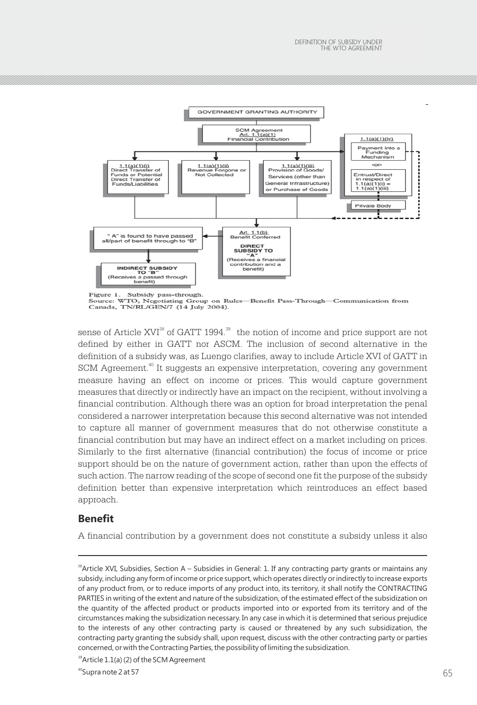

Figure 1. Subsidy pass-through. Source: WTO, Negotiating Group on Rules-Benefit Pass-Through-Communication from Canada, TN/RL/GEN/7 (14 July 2004).

sense of Article XVI $^{\text{38}}$  of GATT 1994. $^{\text{39}}$  the notion of income and price support are not defined by either in GATT nor ASCM. The inclusion of second alternative in the definition of a subsidy was, as Luengo clarifies, away to include Article XVI of GATT in SCM Agreement.<sup>40</sup> It suggests an expensive interpretation, covering any government measure having an effect on income or prices. This would capture government measures that directly or indirectly have an impact on the recipient, without involving a financial contribution. Although there was an option for broad interpretation the penal considered a narrower interpretation because this second alternative was not intended to capture all manner of government measures that do not otherwise constitute a financial contribution but may have an indirect effect on a market including on prices. Similarly to the first alternative (financial contribution) the focus of income or price support should be on the nature of government action, rather than upon the effects of such action. The narrow reading of the scope of second one fit the purpose of the subsidy definition better than expensive interpretation which reintroduces an effect based approach.

### **Benefit**

A financial contribution by a government does not constitute a subsidy unless it also

<sup>&</sup>lt;sup>38</sup> Article XVI, Subsidies, Section A – Subsidies in General: 1. If any contracting party grants or maintains any subsidy, including any form of income or price support, which operates directly or indirectly to increase exports of any product from, or to reduce imports of any product into, its territory, it shall notify the CONTRACTING PARTIES in writing of the extent and nature of the subsidization, of the estimated effect of the subsidization on the quantity of the affected product or products imported into or exported from its territory and of the circumstances making the subsidization necessary. In any case in which it is determined that serious prejudice to the interests of any other contracting party is caused or threatened by any such subsidization, the contracting party granting the subsidy shall, upon request, discuss with the other contracting party or parties concerned, or with the Contracting Parties, the possibility of limiting the subsidization.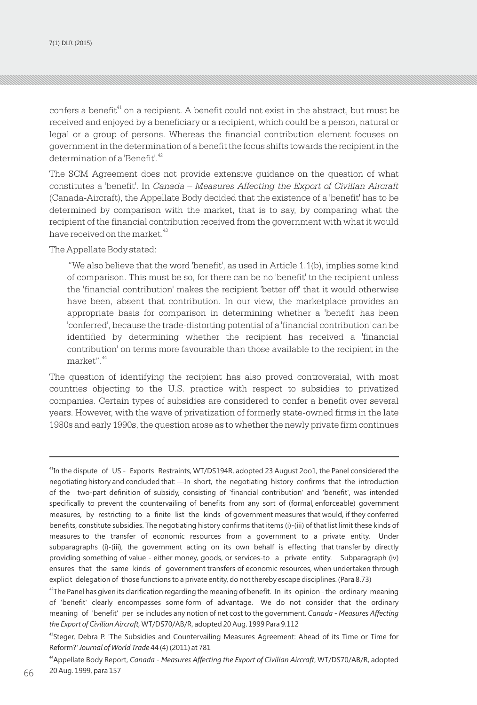confers a benefit<sup>41</sup> on a recipient. A benefit could not exist in the abstract, but must be received and enjoyed by a beneficiary or a recipient, which could be a person, natural or legal or a group of persons. Whereas the financial contribution element focuses on government in the determination of a benefit the focus shifts towards the recipient in the determination of a 'Benefit'.<sup>42</sup>

The SCM Agreement does not provide extensive guidance on the question of what constitutes a 'benefit'. In *Canada – Measures Affecting the Export of Civilian Aircraft* (Canada-Aircraft), the Appellate Body decided that the existence of a 'benefit' has to be determined by comparison with the market, that is to say, by comparing what the recipient of the financial contribution received from the government with what it would have received on the market.<sup>43</sup>

The Appellate Body stated:

"We also believe that the word 'benefit', as used in Article 1.1(b), implies some kind of comparison. This must be so, for there can be no 'benefit' to the recipient unless the 'financial contribution' makes the recipient 'better off' that it would otherwise have been, absent that contribution. In our view, the marketplace provides an appropriate basis for comparison in determining whether a 'benefit' has been 'conferred', because the trade-distorting potential of a 'financial contribution' can be identified by determining whether the recipient has received a 'financial contribution' on terms more favourable than those available to the recipient in the market".<sup>44</sup>

The question of identifying the recipient has also proved controversial, with most countries objecting to the U.S. practice with respect to subsidies to privatized companies. Certain types of subsidies are considered to confer a benefit over several years. However, with the wave of privatization of formerly state-owned firms in the late 1980s and early 1990s, the question arose as to whether the newly private firm continues

<sup>41</sup>In the dispute of US - Exports Restraints, WT/DS194R, adopted 23 August 2oo1, the Panel considered the negotiating history and concluded that: ―In short, the negotiating history confirms that the introduction of the two-part definition of subsidy, consisting of 'financial contribution' and 'benefit', was intended specifically to prevent the countervailing of benefits from any sort of (formal, enforceable) government measures, by restricting to a finite list the kinds of government measures that would, if they conferred benefits, constitute subsidies. The negotiating history confirms that items (i)-(iii) of that list limit these kinds of measures to the transfer of economic resources from a government to a private entity. Under subparagraphs (i)-(iii), the government acting on its own behalf is effecting that transfer by directly providing something of value - either money, goods, or services-to a private entity. Subparagraph (iv) ensures that the same kinds of government transfers of economic resources, when undertaken through explicit delegation of those functions to a private entity, do not thereby escape disciplines. (Para 8.73)

 $42$ The Panel has given its clarification regarding the meaning of benefit. In its opinion - the ordinary meaning of 'benefit' clearly encompasses some form of advantage. We do not consider that the ordinary meaning of 'benefit' per se includes any notion of net cost to the government. *Canada - Measures Affecting the Export of Civilian Aircraft,* WT/DS70/AB/R, adopted 20 Aug. 1999 Para 9.112

<sup>&</sup>lt;sup>43</sup>Steger, Debra P. 'The Subsidies and Countervailing Measures Agreement: Ahead of its Time or Time for Reform?' *Journal of World Trade* 44 (4) (2011) at 781

 $66$  20 Aug. 1999, para 157 <sup>44</sup>Appellate Body Report, *Canada - Measures Affecting the Export of Civilian Aircraft*, WT/DS70/AB/R, adopted 20 Aug. 1999, para 157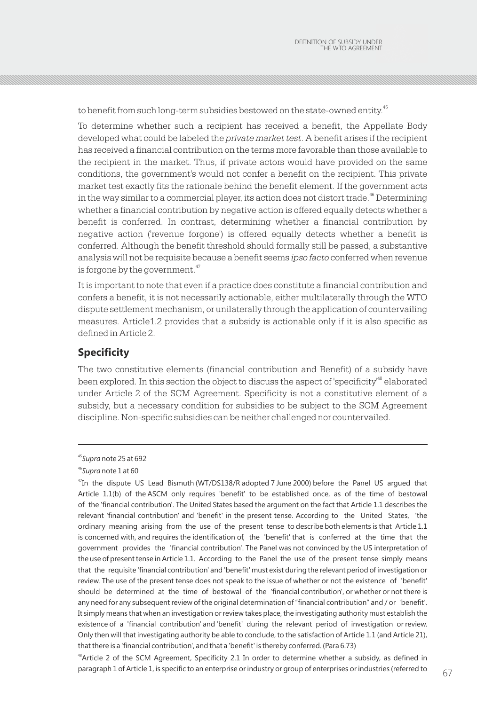to benefit from such long-term subsidies bestowed on the state-owned entity.<sup>45</sup>

To determine whether such a recipient has received a benefit, the Appellate Body developed what could be labeled the *private market test*. A benefit arises if the recipient has received a financial contribution on the terms more favorable than those available to the recipient in the market. Thus, if private actors would have provided on the same conditions, the government's would not confer a benefit on the recipient. This private market test exactly fits the rationale behind the benefit element. If the government acts in the way similar to a commercial player, its action does not distort trade.  $46^{\circ}$  Determining whether a financial contribution by negative action is offered equally detects whether a benefit is conferred. In contrast, determining whether a financial contribution by negative action ('revenue forgone') is offered equally detects whether a benefit is conferred. Although the benefit threshold should formally still be passed, a substantive analysis will not be requisite because a benefit seems *ipso facto* conferred when revenue is forgone by the government.<sup>47</sup>

It is important to note that even if a practice does constitute a financial contribution and confers a benefit, it is not necessarily actionable, either multilaterally through the WTO dispute settlement mechanism, or unilaterally through the application of countervailing measures. Article1.2 provides that a subsidy is actionable only if it is also specific as defined in Article 2.

# **Specificity**

The two constitutive elements (financial contribution and Benefit) of a subsidy have been explored. In this section the object to discuss the aspect of 'specificity'<sup>48</sup> elaborated under Article 2 of the SCM Agreement. Specificity is not a constitutive element of a subsidy, but a necessary condition for subsidies to be subject to the SCM Agreement discipline. Non-specific subsidies can be neither challenged nor countervailed.

<sup>45</sup>*Supra* note 25 at 692

<sup>46</sup>*Supra* note 1 at 60

<sup>&</sup>lt;sup>47</sup>In the dispute US Lead Bismuth (WT/DS138/R adopted 7 June 2000) before the Panel US argued that Article 1.1(b) of the ASCM only requires 'benefit' to be established once, as of the time of bestowal of the 'financial contribution'. The United States based the argument on the fact that Article 1.1 describes the relevant 'financial contribution' and 'benefit' in the present tense. According to the United States, 'the ordinary meaning arising from the use of the present tense to describe both elements is that Article 1.1 is concerned with, and requires the identification of, the 'benefit' that is conferred at the time that the government provides the 'financial contribution'. The Panel was not convinced by the US interpretation of the use of present tense in Article 1.1. According to the Panel the use of the present tense simply means that the requisite 'financial contribution' and 'benefit' must exist during the relevant period of investigation or review. The use of the present tense does not speak to the issue of whether or not the existence of 'benefit' should be determined at the time of bestowal of the 'financial contribution', or whether or not there is any need for any subsequent review of the original determination of "financial contribution" and / or 'benefit'. It simply means that when an investigation or review takes place, the investigating authority must establish the existence of a 'financial contribution' and 'benefit' during the relevant period of investigation or review. Only then will that investigating authority be able to conclude, to the satisfaction of Article 1.1 (and Article 21), that there is a 'financial contribution', and that a 'benefit' is thereby conferred. (Para 6.73)

paragraph 1 of Article 1, is specific to an enterprise or industry or group of enterprises or industries (referred to  $67\,$ <sup>48</sup>Article 2 of the SCM Agreement, Specificity 2.1 In order to determine whether a subsidy, as defined in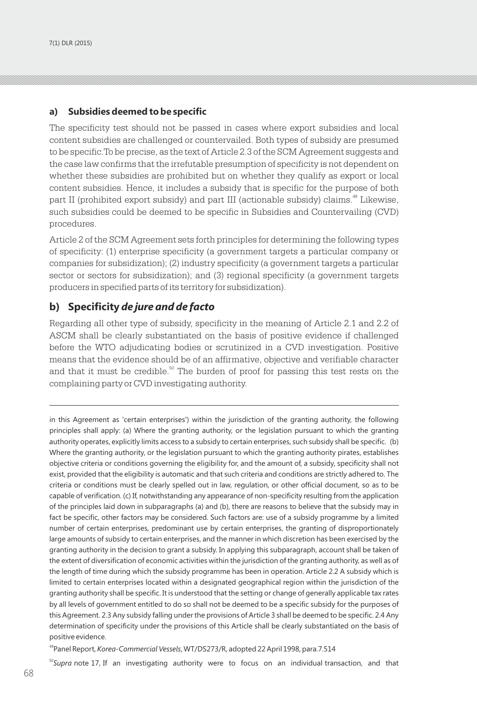### **a) Subsidies deemed to be specific**

The specificity test should not be passed in cases where export subsidies and local content subsidies are challenged or countervailed. Both types of subsidy are presumed to be specific.To be precise, as the text of Article 2.3 of the SCM Agreement suggests and the case law confirms that the irrefutable presumption of specificity is not dependent on whether these subsidies are prohibited but on whether they qualify as export or local content subsidies. Hence, it includes a subsidy that is specific for the purpose of both part II (prohibited export subsidy) and part III (actionable subsidy) claims.<sup>49</sup> Likewise, such subsidies could be deemed to be specific in Subsidies and Countervailing (CVD) procedures.

Article 2 of the SCM Agreement sets forth principles for determining the following types of specificity: (1) enterprise specificity (a government targets a particular company or companies for subsidization); (2) industry specificity (a government targets a particular sector or sectors for subsidization); and (3) regional specificity (a government targets producers in specified parts of its territory for subsidization).

# **b) Specificity** *de jure and de facto*

Regarding all other type of subsidy, specificity in the meaning of Article 2.1 and 2.2 of ASCM shall be clearly substantiated on the basis of positive evidence if challenged before the WTO adjudicating bodies or scrutinized in a CVD investigation. Positive means that the evidence should be of an affirmative, objective and verifiable character and that it must be credible.<sup>50</sup> The burden of proof for passing this test rests on the complaining party or CVD investigating authority.

in this Agreement as 'certain enterprises') within the jurisdiction of the granting authority, the following principles shall apply: (a) Where the granting authority, or the legislation pursuant to which the granting authority operates, explicitly limits access to a subsidy to certain enterprises, such subsidy shall be specific. (b) Where the granting authority, or the legislation pursuant to which the granting authority pirates, establishes objective criteria or conditions governing the eligibility for, and the amount of, a subsidy, specificity shall not exist, provided that the eligibility is automatic and that such criteria and conditions are strictly adhered to. The criteria or conditions must be clearly spelled out in law, regulation, or other official document, so as to be capable of verification. (c) If, notwithstanding any appearance of non-specificity resulting from the application of the principles laid down in subparagraphs (a) and (b), there are reasons to believe that the subsidy may in fact be specific, other factors may be considered. Such factors are: use of a subsidy programme by a limited number of certain enterprises, predominant use by certain enterprises, the granting of disproportionately large amounts of subsidy to certain enterprises, and the manner in which discretion has been exercised by the granting authority in the decision to grant a subsidy. In applying this subparagraph, account shall be taken of the extent of diversification of economic activities within the jurisdiction of the granting authority, as well as of the length of time during which the subsidy programme has been in operation. Article 2.2 A subsidy which is limited to certain enterprises located within a designated geographical region within the jurisdiction of the granting authority shall be specific. It is understood that the setting or change of generally applicable tax rates by all levels of government entitled to do so shall not be deemed to be a specific subsidy for the purposes of this Agreement. 2.3 Any subsidy falling under the provisions of Article 3 shall be deemed to be specific. 2.4 Any determination of specificity under the provisions of this Article shall be clearly substantiated on the basis of positive evidence.

<sup>49</sup>Panel Report, *Korea-Commercial Vessels*, WT/DS273/R, adopted 22 April 1998, para.7.514

<sup>50</sup>Supra note 17, If an investigating authority were to focus on an individual transaction, and that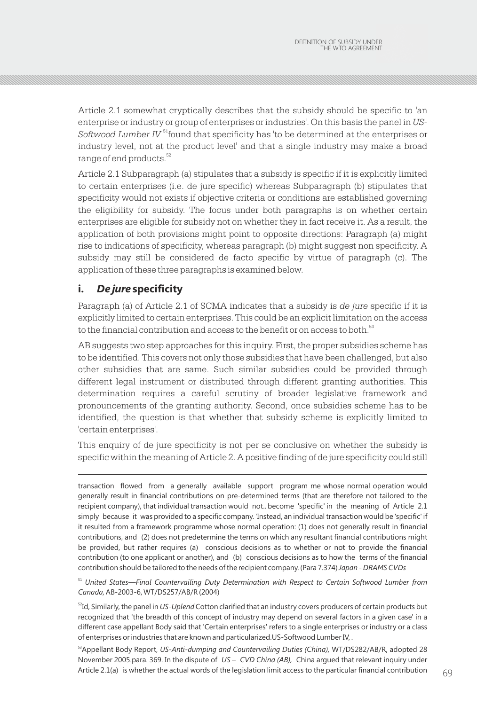Article 2.1 somewhat cryptically describes that the subsidy should be specific to 'an enterprise or industry or group of enterprises or industries'. On this basis the panel in *US-*Softwood Lumber IV<sup>51</sup> found that specificity has 'to be determined at the enterprises or industry level, not at the product level' and that a single industry may make a broad range of end products.<sup>52</sup>

Article 2.1 Subparagraph (a) stipulates that a subsidy is specific if it is explicitly limited to certain enterprises (i.e. de jure specific) whereas Subparagraph (b) stipulates that specificity would not exists if objective criteria or conditions are established governing the eligibility for subsidy. The focus under both paragraphs is on whether certain enterprises are eligible for subsidy not on whether they in fact receive it. As a result, the application of both provisions might point to opposite directions: Paragraph (a) might rise to indications of specificity, whereas paragraph (b) might suggest non specificity. A subsidy may still be considered de facto specific by virtue of paragraph (c). The application of these three paragraphs is examined below.

# **i.** *De jure* **specificity**

Paragraph (a) of Article 2.1 of SCMA indicates that a subsidy is *de jure* specific if it is explicitly limited to certain enterprises. This could be an explicit limitation on the access to the financial contribution and access to the benefit or on access to both.<sup>53</sup>

AB suggests two step approaches for this inquiry. First, the proper subsidies scheme has to be identified. This covers not only those subsidies that have been challenged, but also other subsidies that are same. Such similar subsidies could be provided through different legal instrument or distributed through different granting authorities. This determination requires a careful scrutiny of broader legislative framework and pronouncements of the granting authority. Second, once subsidies scheme has to be identified, the question is that whether that subsidy scheme is explicitly limited to 'certain enterprises'.

This enquiry of de jure specificity is not per se conclusive on whether the subsidy is specific within the meaning of Article 2. A positive finding of de jure specificity could still

transaction flowed from a generally available support program me whose normal operation would generally result in financial contributions on pre-determined terms (that are therefore not tailored to the recipient company), that individual transaction would not.. become 'specific' in the meaning of Article 2.1 simply because it was provided to a specific company. 'Instead, an individual transaction would be 'specific' if it resulted from a framework programme whose normal operation: (1) does not generally result in financial contributions, and (2) does not predetermine the terms on which any resultant financial contributions might be provided, but rather requires (a) conscious decisions as to whether or not to provide the financial contribution (to one applicant or another), and (b) conscious decisions as to how the terms of the financial contribution should be tailored to the needs of the recipient company. (Para 7.374) *Japan - DRAMS CVDs* 

<sup>51</sup> *United States—Final Countervailing Duty Determination with Respect to Certain Softwood Lumber from Canada,* AB-2003-6, WT/DS257/AB/R (2004)

<sup>52</sup>Id, Similarly, the panel in *US-Uplend* Cotton clarified that an industry covers producers of certain products but recognized that 'the breadth of this concept of industry may depend on several factors in a given case' in a different case appellant Body said that 'Certain enterprises' refers to a single enterprises or industry or a class of enterprises or industries that are known and particularized.US-Softwood Lumber IV, .

<sup>53</sup>Appellant Body Report, US-Anti-dumping and Countervailing Duties (China), WT/DS282/AB/R, adopted 28 November 2005.para. 369. In the dispute of *US – CVD China (AB),* China argued that relevant inquiry under Article 2.1(a)  $\,$  is whether the actual words of the legislation limit access to the particular financial contribution  $\,69$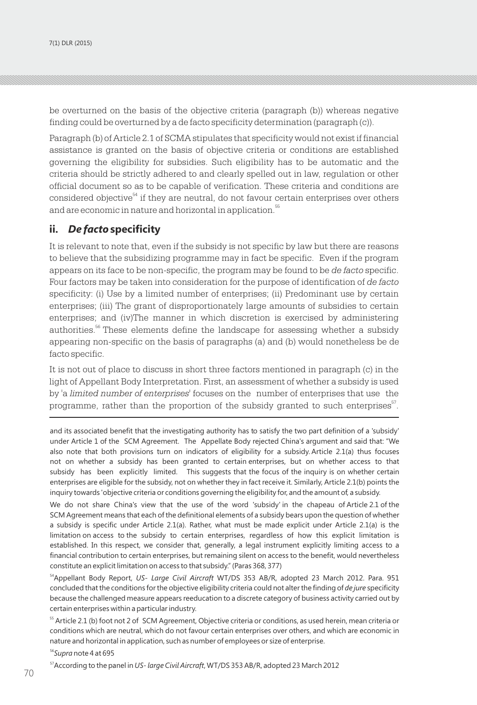be overturned on the basis of the objective criteria (paragraph (b)) whereas negative finding could be overturned by a de facto specificity determination (paragraph (c)).

Paragraph (b) of Article 2.1 of SCMA stipulates that specificity would not exist if financial assistance is granted on the basis of objective criteria or conditions are established governing the eligibility for subsidies. Such eligibility has to be automatic and the criteria should be strictly adhered to and clearly spelled out in law, regulation or other official document so as to be capable of verification. These criteria and conditions are considered objective $<sup>54</sup>$  if they are neutral, do not favour certain enterprises over others</sup> and are economic in nature and horizontal in application.<sup>55</sup>

# **ii.** *De facto* **specificity**

It is relevant to note that, even if the subsidy is not specific by law but there are reasons to believe that the subsidizing programme may in fact be specific. Even if the program appears on its face to be non-specific, the program may be found to be *de facto* specific. Four factors may be taken into consideration for the purpose of identification of *de facto* specificity: (i) Use by a limited number of enterprises; (ii) Predominant use by certain enterprises; (iii) The grant of disproportionately large amounts of subsidies to certain enterprises; and (iv)The manner in which discretion is exercised by administering authorities.<sup>56</sup> These elements define the landscape for assessing whether a subsidy appearing non-specific on the basis of paragraphs (a) and (b) would nonetheless be de facto specific.

It is not out of place to discuss in short three factors mentioned in paragraph (c) in the light of Appellant Body Interpretation. First, an assessment of whether a subsidy is used by 'a *limited number of enterprises'* focuses on the number of enterprises that use the programme, rather than the proportion of the subsidy granted to such enterprises $^{57}$ .

and its associated benefit that the investigating authority has to satisfy the two part definition of a 'subsidy' under Article 1 of the SCM Agreement. The Appellate Body rejected China's argument and said that: "We also note that both provisions turn on indicators of eligibility for a subsidy. Article 2.1(a) thus focuses not on whether a subsidy has been granted to certain enterprises, but on whether access to that subsidy has been explicitly limited. This suggests that the focus of the inquiry is on whether certain enterprises are eligible for the subsidy, not on whether they in fact receive it. Similarly, Article 2.1(b) points the inquiry towards 'objective criteria or conditions governing the eligibility for, and the amount of, a subsidy.

We do not share China's view that the use of the word 'subsidy' in the chapeau of Article 2.1 of the SCM Agreement means that each of the definitional elements of a subsidy bears upon the question of whether a subsidy is specific under Article 2.1(a). Rather, what must be made explicit under Article 2.1(a) is the limitation on access to the subsidy to certain enterprises, regardless of how this explicit limitation is established. In this respect, we consider that, generally, a legal instrument explicitly limiting access to a financial contribution to certain enterprises, but remaining silent on access to the benefit, would nevertheless constitute an explicit limitation on access to that subsidy." (Paras 368, 377)

<sup>54</sup>Appellant Body Report, *US- Large Civil Aircraft* WT/DS 353 AB/R, adopted 23 March 2012. Para. 951 concluded that the conditions for the objective eligibility criteria could not alter the finding of *de jure* specificity because the challenged measure appears reeducation to a discrete category of business activity carried out by certain enterprises within a particular industry.

<sup>55</sup> Article 2.1 (b) foot not 2 of SCM Agreement, Objective criteria or conditions, as used herein, mean criteria or conditions which are neutral, which do not favour certain enterprises over others, and which are economic in nature and horizontal in application, such as number of employees or size of enterprise.

<sup>56</sup>*Supra* note 4 at 695

70 71 <sup>57</sup>According to the panel in *US- large Civil Aircraft*, WT/DS 353 AB/R, adopted 23 March 2012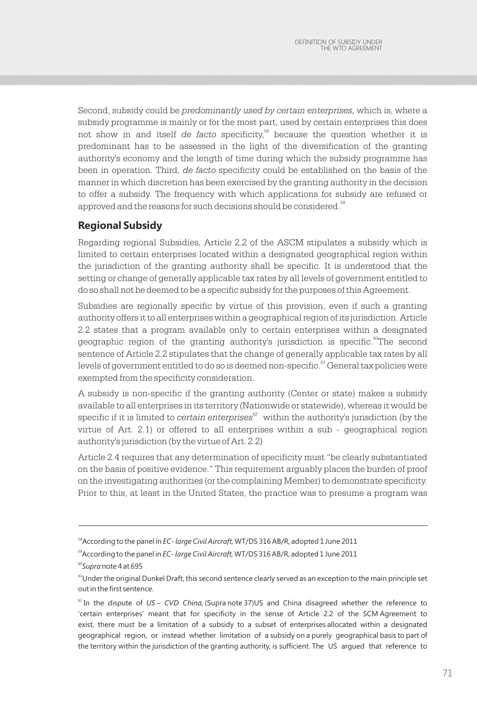Second, subsidy could be *predominantly used by certain enterprises,* which is, where a subsidy programme is mainly or for the most part, used by certain enterprises this does not show in and itself *de facto* specificity,<sup>58</sup> because the question whether it is predominant has to be assessed in the light of the diversification of the granting authority's economy and the length of time during which the subsidy programme has been in operation. Third, *de facto* specificity could be established on the basis of the manner in which discretion has been exercised by the granting authority in the decision to offer a subsidy. The frequency with which applications for subsidy are refused or approved and the reasons for such decisions should be considered.<sup>59</sup>

# **Regional Subsidy**

Regarding regional Subsidies, Article 2.2 of the ASCM stipulates a subsidy which is limited to certain enterprises located within a designated geographical region within the jurisdiction of the granting authority shall be specific. It is understood that the setting or change of generally applicable tax rates by all levels of government entitled to do so shall not be deemed to be a specific subsidy for the purposes of this Agreement.

Subsidies are regionally specific by virtue of this provision, even if such a granting authority offers it to all enterprises within a geographical region of its jurisdiction. Article 2.2 states that a program available only to certain enterprises within a designated <sup>60</sup> geographic region of the granting authority's jurisdiction is specific. The second sentence of Article 2.2 stipulates that the change of generally applicable tax rates by all levels of government entitled to do so is deemed non-specific.<sup>61</sup> General tax policies were exempted from the specificity consideration.

A subsidy is non-specific if the granting authority (Center or state) makes a subsidy available to all enterprises in its territory (Nationwide or statewide), whereas it would be *<sup>62</sup>* specific if it is limited to *certain enterprises* within the authority's jurisdiction (by the virtue of Art. 2.1) or offered to all enterprises within a sub - geographical region authority's jurisdiction (by the virtue of Art. 2.2)

Article 2.4 requires that any determination of specificity must "be clearly substantiated on the basis of positive evidence." This requirement arguably places the burden of proof on the investigating authorities (or the complaining Member) to demonstrate specificity. Prior to this, at least in the United States, the practice was to presume a program was

<sup>58</sup>According to the panel in *EC- large Civil Aircraft,* WT/DS 316 AB/R, adopted 1 June 2011

<sup>59</sup>According to the panel in *EC- large Civil Aircraft,* WT/DS 316 AB/R, adopted 1 June 2011

<sup>60</sup>*Supra* note 4 at 695

<sup>&</sup>lt;sup>61</sup>Under the original Dunkel Draft, this second sentence clearly served as an exception to the main principle set out in the first sentence.

<sup>62</sup> In the dispute of *US – CVD China,* (Supra note 37)US and China disagreed whether the reference to 'certain enterprises' meant that for specificity in the sense of Article 2.2 of the SCM Agreement to exist, there must be a limitation of a subsidy to a subset of enterprises allocated within a designated geographical region, or instead whether limitation of a subsidy on a purely geographical basis to part of the territory within the jurisdiction of the granting authority, is sufficient. The US argued that reference to